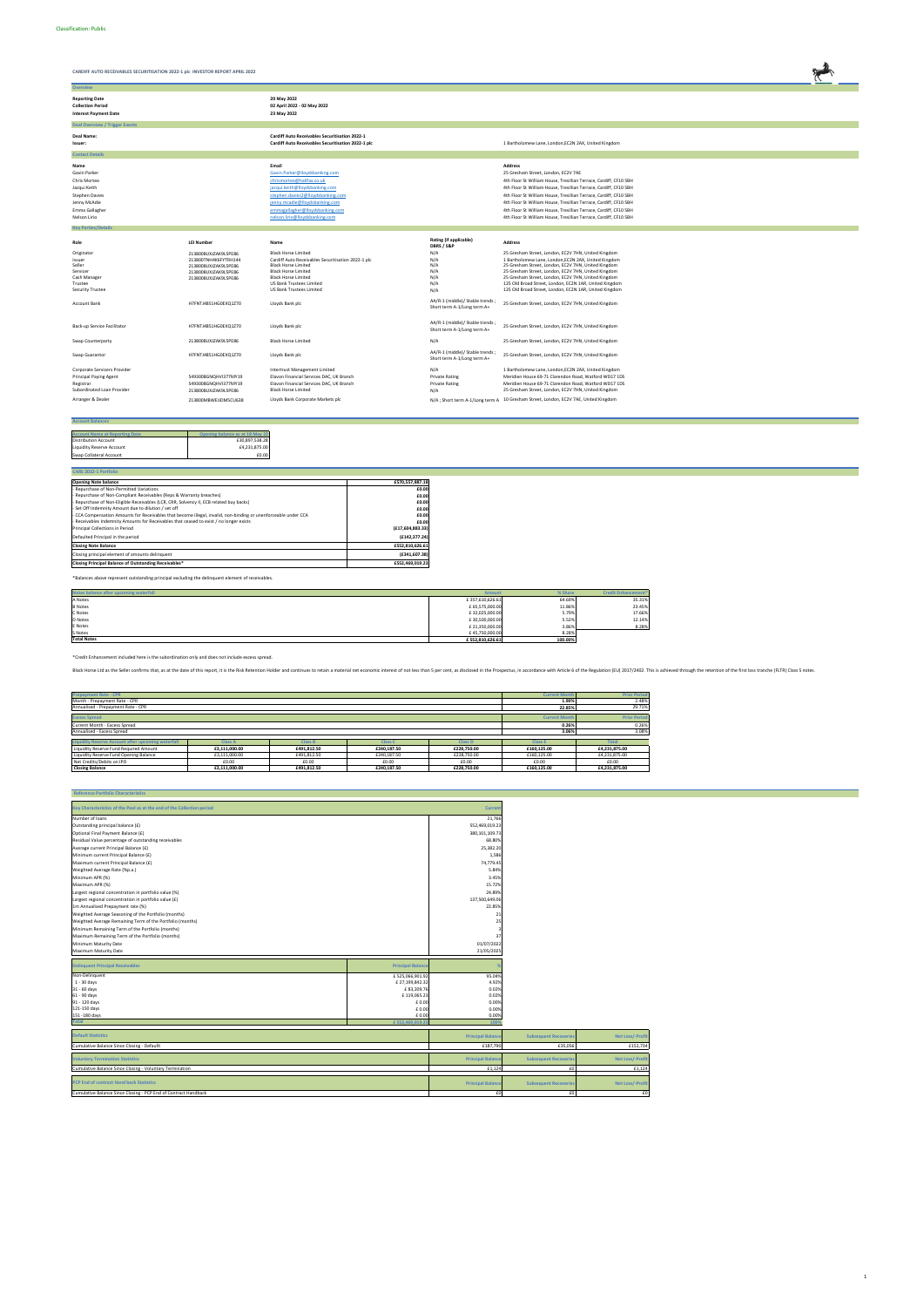| CARDIFF AUTO RECEIVABLES SECURITISATION 2022-1 plc INVESTOR REPORT APRIL 2022     |                                                                                                             |                                                                                                                                                                                                             |  |
|-----------------------------------------------------------------------------------|-------------------------------------------------------------------------------------------------------------|-------------------------------------------------------------------------------------------------------------------------------------------------------------------------------------------------------------|--|
| Overview                                                                          |                                                                                                             |                                                                                                                                                                                                             |  |
| <b>Reporting Date</b><br><b>Collection Period</b><br><b>Interest Payment Date</b> | 20 May 2022<br>02 April 2022 - 02 May 2022<br>23 May 2022                                                   |                                                                                                                                                                                                             |  |
| <b>Deal Overview / Trigger Events</b>                                             |                                                                                                             |                                                                                                                                                                                                             |  |
| Deal Name:<br>Issuer:                                                             | <b>Cardiff Auto Receivables Securitisation 2022-1</b><br>Cardiff Auto Receivables Securitisation 2022-1 plc | 1 Bartholomew Lane, London, EC2N 2AX, United Kingdom                                                                                                                                                        |  |
| <b>Contact Details</b>                                                            |                                                                                                             |                                                                                                                                                                                                             |  |
| Name<br>Gavin Parker                                                              | Email<br>Gavin.Parker@lloydsbanking.com                                                                     | <b>Address</b><br>25 Gresham Street, London, EC2V 7AE                                                                                                                                                       |  |
| Chris Morteo<br>Jacqui Keith                                                      | chrismorteo@halifax.co.uk<br>jacqui.keith@lloydsbanking.com                                                 | 4th Floor St William House, Tresillian Terrace, Cardiff, CF10 5BH<br>4th Floor St William House, Tresillian Terrace, Cardiff, CF10 5BH                                                                      |  |
| <b>Stephen Davies</b><br>Jenny McAdie<br>Emma Gallagher                           | stephen.davies2@lloydsbanking.com<br>jenny.mcadie@lloydsbanking.com                                         | 4th Floor St William House, Tresillian Terrace, Cardiff, CF10 5BH<br>4th Floor St William House, Tresillian Terrace, Cardiff, CF10 5BH<br>4th Floor St William House, Tresillian Terrace, Cardiff, CF10 5BH |  |
| Nelson Lirio                                                                      | emmagallagher@lloydsbanking.com<br>nelson.lirio@lloydsbanking.com                                           | 4th Floor St William House, Tresillian Terrace, Cardiff, CF10 5BH                                                                                                                                           |  |
| <b>Key Parties/Details</b>                                                        |                                                                                                             |                                                                                                                                                                                                             |  |
|                                                                                   |                                                                                                             |                                                                                                                                                                                                             |  |

| Role                          | <b>LEI Number</b>    | Name                                               | Rating (if applicable)<br>DBRS / S&P                           | <b>Address</b>                                                                       |
|-------------------------------|----------------------|----------------------------------------------------|----------------------------------------------------------------|--------------------------------------------------------------------------------------|
| Originator                    | 2138008UXJZAK9L5PE86 | <b>Black Horse Limited</b>                         | N/A                                                            | 25 Gresham Street, London, EC2V 7HN, United Kingdom                                  |
| Issuer                        | 213800TNH4K6FYTRH144 | Cardiff Auto Receivables Securitisation 2022-1 plc | N/A                                                            | 1 Bartholomew Lane, London, EC2N 2AX, United Kingdom                                 |
| Seller                        | 2138008UXJZAK9L5PE86 | <b>Black Horse Limited</b>                         | N/A                                                            | 25 Gresham Street, London, EC2V 7HN, United Kingdom                                  |
| Servicer                      | 2138008UXJZAK9L5PE86 | <b>Black Horse Limited</b>                         | N/A                                                            | 25 Gresham Street, London, EC2V 7HN, United Kingdom                                  |
| Cash Manager                  | 2138008UXJZAK9L5PE86 | <b>Black Horse Limited</b>                         | N/A                                                            | 25 Gresham Street, London, EC2V 7HN, United Kingdom                                  |
| Trustee                       |                      | US Bank Trustees Limited                           | N/A                                                            | 125 Old Broad Street, London, EC2N 1AR, United Kingdom                               |
| <b>Security Trustee</b>       |                      | US Bank Trustees Limited                           | N/A                                                            | 125 Old Broad Street, London, EC2N 1AR, United Kingdom                               |
| Account Bank                  | H7FNTJ4851HG0EXQ1Z70 | Lloyds Bank plc                                    | AA/R-1 (middle)/ Stable trends;<br>Short term A-1/Long term A+ | 25 Gresham Street, London, EC2V 7HN, United Kingdom                                  |
| Back-up Service Facilitator   | H7FNTJ4851HG0EXQ1Z70 | Lloyds Bank plc                                    | AA/R-1 (middle)/ Stable trends;<br>Short term A-1/Long term A+ | 25 Gresham Street, London, EC2V 7HN, United Kingdom                                  |
| Swap Counterparty             | 2138008UXJZAK9L5PE86 | <b>Black Horse Limited</b>                         | N/A                                                            | 25 Gresham Street, London, EC2V 7HN, United Kingdom                                  |
| Swap Guarantor                | H7FNTJ4851HG0EXQ1Z70 | Lloyds Bank plc                                    | AA/R-1 (middle)/ Stable trends;<br>Short term A-1/Long term A+ | 25 Gresham Street, London, EC2V 7HN, United Kingdom                                  |
| Corporate Servicers Provider  |                      | Intertrust Management Limited                      | N/A                                                            | 1 Bartholomew Lane, London, EC2N 2AX, United Kingdom                                 |
| <b>Principal Paying Agent</b> | 5493008GNOHVI377MY19 | Elavon Financial Services DAC, UK Branch           | <b>Private Rating</b>                                          | Meridien House 69-71 Clarendon Road, Watford WD17 1DS                                |
| Registrar                     | 5493008GNOHVI377MY19 | Elavon Financial Services DAC, UK Branch           | <b>Private Rating</b>                                          | Meridien House 69-71 Clarendon Road, Watford WD17 1DS                                |
| Subordinated Loan Provider    | 2138008UXJZAK9L5PE86 | <b>Black Horse Limited</b>                         | N/A                                                            | 25 Gresham Street, London, EC2V 7HN, United Kingdom                                  |
| Arranger & Dealer             | 213800MBWEIJDM5CU638 | Lloyds Bank Corporate Markets plc                  |                                                                | N/A ; Short term A-1/Long term A 10 Gresham Street, London, EC2V 7AE, United Kingdom |

| <b>Account Balances</b>               |                                 |
|---------------------------------------|---------------------------------|
|                                       |                                 |
| <b>Account Name at Reporting Date</b> | Opening balance as at 18 May 22 |
| <b>Distribution Account</b>           | £30,897,538.28                  |
| <b>Liquidity Reserve Account</b>      | £4,231,875.00                   |
| Swap Collateral Account               | £0.00                           |

| <b>CARS 2022-1 Portfolio</b>                                                                                    |                    |
|-----------------------------------------------------------------------------------------------------------------|--------------------|
| <b>Opening Note balance</b>                                                                                     | £570,557,887.18    |
| Repurchase of Non-Permitted Variations                                                                          | £0.00              |
| Repurchase of Non-Compliant Receivables (Reps & Warranty breaches)                                              | £0.00              |
| Repurchase of Non-Eligible Receivables (LCR, CRR, Solvency II, ECB related buy backs)                           | £0.00              |
| Set Off Indemnity Amount due to dilution / set off                                                              | £0.00              |
| - CCA Compensation Amounts for Receivables that become illegal, invalid, non-binding or unenforceable under CCA | £0.00              |
| - Receivables Indemnity Amounts for Receivables that ceased to exist / no longer exists                         | £0.00              |
| Principal Collections in Period                                                                                 | (E17, 604, 883.33) |
| Defaulted Principal in the period                                                                               | (£142.377.24)      |
| <b>Closing Note Balance</b>                                                                                     | £552,810,626.61    |
| Closing principal element of amounts delinquent                                                                 | (£341,607.38)      |
| Closing Principal Balance of Outstanding Receivables*                                                           | £552.469.019.23    |

\*Balances above represent outstanding principal excluding the delinquent element of receivables.

| Notes balance after upcoming waterfall<br><b>Amount</b> |                 | % Share | <b>Credit Enhancement*</b> |
|---------------------------------------------------------|-----------------|---------|----------------------------|
| A Notes                                                 | £357,610,626.61 | 64.69%  | 35.31%                     |
| <b>B</b> Notes                                          | £ 65,575,000.00 | 11.86%  | 23.45%                     |
| C Notes                                                 | £32,025,000.00  | 5.79%   | 17.66%                     |
| D Notes                                                 | £30,500,000.00  | 5.52%   | 12.14%                     |
| E Notes                                                 | £21,350,000.00  | 3.86%   | 8.28%                      |
| S Notes                                                 | £45,750,000.00  | 8.28%   |                            |
| <b>Total Notes</b>                                      | £552,810,626.61 | 100.00% |                            |

| <b>Prepayment Rate - CPR</b>                                                                         |                |                |                |                |                      | <b>Prior Period</b> |
|------------------------------------------------------------------------------------------------------|----------------|----------------|----------------|----------------|----------------------|---------------------|
| Month - Prepayment Rate - CPR                                                                        |                |                |                |                | 1.90%                | 2.48%               |
| Annualised - Prepayment Rate - CPR                                                                   |                |                |                |                | 22.85%               | 29.71%              |
|                                                                                                      |                |                |                |                |                      |                     |
| <b>Excess Spread</b>                                                                                 |                |                |                |                | <b>Current Month</b> | <b>Prior Period</b> |
| Current Month - Excess Spread                                                                        |                |                |                |                | 0.26%                | 0.26%               |
| Annualised - Excess Spread                                                                           |                |                |                |                | 3.06%                | 3.08%               |
|                                                                                                      |                |                |                |                |                      |                     |
| <b>Liquidity Reserve Account after upcoming waterfall</b>                                            | <b>Class A</b> | <b>Class B</b> | <b>Class C</b> | <b>Class D</b> | <b>Class E</b>       | <b>Total</b>        |
| Liquidity Reserve Fund Required Amount                                                               | £3,111,000.00  | £491.812.50    | £240.187.50    | £228,750.00    | £160,125.00          | £4,231,875.00       |
| Liquidity Reserve Fund Opening Balance<br>£3,111,000.00<br>£491.812.50<br>£240.187.50<br>£228,750.00 |                |                |                |                | £160,125.00          | £4,231,875.00       |
| Net Credits/Debits on IPD<br>£0.00<br>£0.00<br>£0.00<br>£0.00                                        |                |                |                |                |                      | £0.00               |
| <b>Closing Balance</b>                                                                               | £3.111.000.00  | £491.812.50    | £240.187.50    | £228,750.00    | £160,125.00          | £4.231.875.00       |

 **Reference Portfolio Characteristics**

| Key Characteristics of the Pool as at the end of the Collection period |                          | <b>Current</b>   |
|------------------------------------------------------------------------|--------------------------|------------------|
| Number of loans                                                        |                          | 21,766           |
| Outstanding principal balance (£)                                      |                          | 552,469,019.23   |
| Optional Final Payment Balance (£)                                     |                          | 380, 101, 109.73 |
| Residual Value percentage of outstanding receivables                   |                          | 68.80%           |
| Average current Principal Balance (£)                                  |                          | 25.382.20        |
| Minimum current Principal Balance (£)                                  |                          | 1,586            |
| Maximum current Principal Balance (£)                                  |                          | 74,779.45        |
| Weighted Average Rate (%p.a.)                                          |                          | 5.84%            |
| Minimum APR (%)                                                        |                          | 3.45%            |
| Maximum APR (%)                                                        |                          | 15.72%           |
| Largest regional concentration in portfolio value (%)                  |                          | 24.89%           |
| Largest regional concentration in portfolio value (£)                  |                          | 137,500,649.06   |
| 1m Annualised Prepayment rate (%)                                      |                          | 22.85%           |
| Weighted Average Seasoning of the Portfolio (months)                   |                          | 21               |
| Weighted Average Remaining Term of the Portfolio (months)              |                          | 25               |
| Minimum Remaining Term of the Portfolio (months)                       |                          |                  |
| Maximum Remaining Term of the Portfolio (months)                       |                          | 37               |
| Minimum Maturity Date                                                  |                          | 01/07/2022       |
| Maximum Maturity Date                                                  |                          | 21/05/2025       |
|                                                                        |                          |                  |
| <b>Delinquent Principal Receivables</b>                                | <b>Principal Balance</b> | %                |
| Non-Delinquent                                                         | £525,066,901.92          | 95.04%           |
| $1 - 30$ days                                                          | £27.199.842.32           | 4.92%            |

|                | £552.469.019.23 | 1009                          |
|----------------|-----------------|-------------------------------|
| 151 - 180 days | £0.00           | 0.00%                         |
| 121-150 days   | £0.00           | 0.00%                         |
| 91 - 120 days  | £0.00           | 0.00%<br>$\sim$ $\sim$ $\sim$ |
| 61 - 90 days   | £119,065.23     | 0.02%                         |
| 31 - 60 days   | £83,209.76      | 0.02%                         |

| <b>Default Statistics</b>                                       | <b>Principal Balance</b> | <b>Subsequent Recoveries</b> | Net Loss/-Profit |
|-----------------------------------------------------------------|--------------------------|------------------------------|------------------|
| Cumulative Balance Since Closing - Defaullt                     | £187,790                 | £35,056                      | £152,734         |
| <b>Voluntary Termination Statistics</b>                         | <b>Principal Balance</b> | <b>Subsequent Recoveries</b> | Net Loss/-Profit |
| Cumulative Balance Since Closing - Voluntary Termination        | £1.124                   |                              | £1.124           |
| <b>PCP End of contract Hand back Statistics</b>                 | <b>Principal Balance</b> | <b>Subsequent Recoveries</b> | Net Loss/-Profit |
| Cumulative Balance Since Closing - PCP End of Contract Handback |                          |                              | £C               |

\*Credit Enhancement included here is the subordination only and does not include excess spread.

Black Horse Ltd as the Seller confirms that, as at the date of this report, it is the Risk Retention Holder and continues to retain a material net economic interest of not less than 5 per cent, as disclosed in the Prospect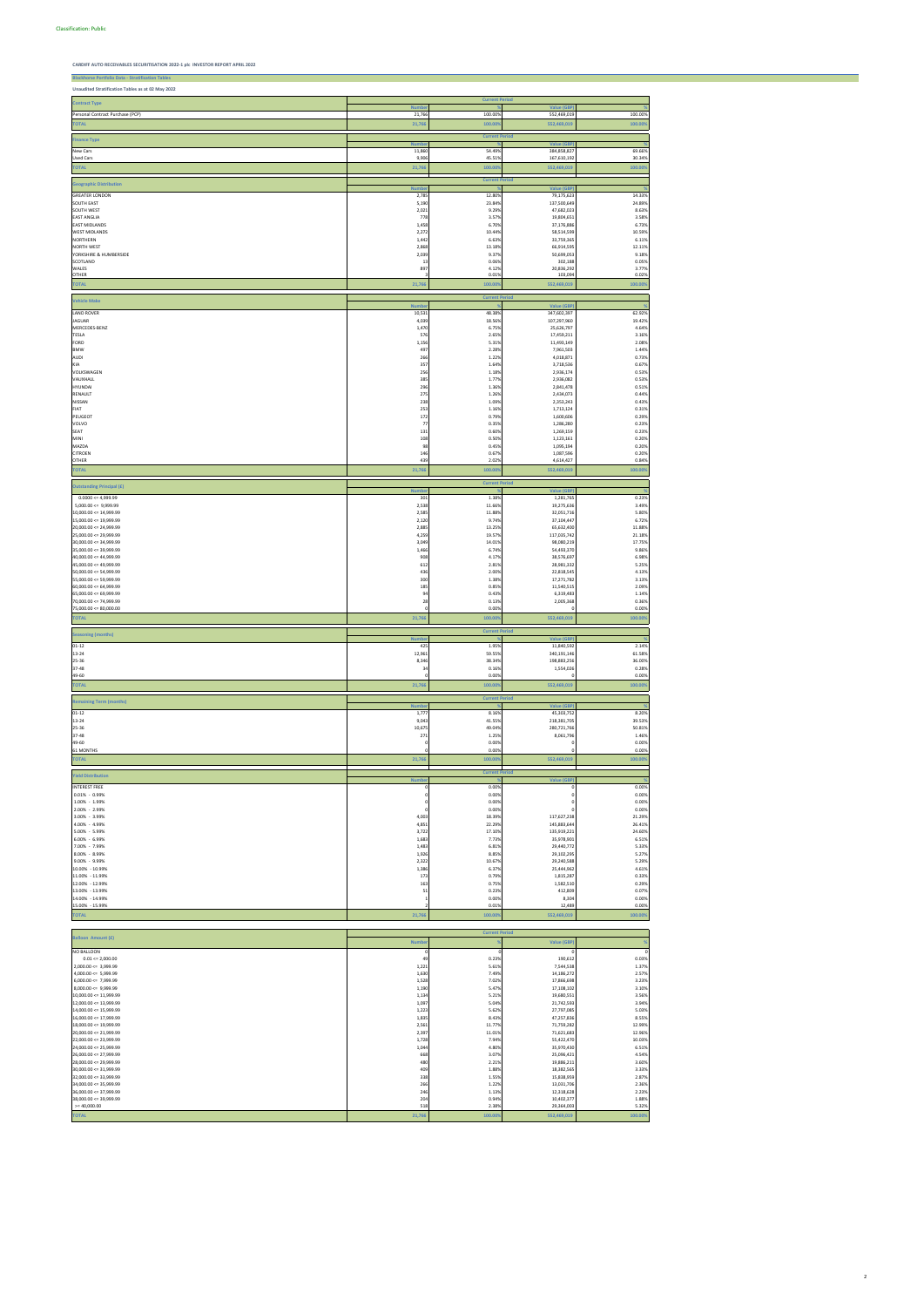**Blackhorse Portfolio Data - Stratification** 

**CARDIFF AUTO RECEIVABLES SECURITISATION 2022-1 plc INVESTOR REPORT APRIL 2022**

2,000.00 <= 3,999.99 7,544,538 7,544,538 7,544,538 7,544,538 7,544,538 7,544,538 7,544,538 7,544,538 7,544,538 4,000.00 <= 5,999.99 14,186,272 16,300 14,186,272 16,300 14,186,272 16,300 14,186,272 16,300 14,186,272 17.49% 2.57% 14,186,272 17.49% 2.57% 14,186,272 17.49% 2.57% 14,186,272 17.49% 2.57% 14,186,272 17.189% 17.57% 17.189% 6,000.00 <= 7,999.99 1,528 7.02% 17,866,698 3.23%

**Unaudited Stratification Tables as at 02 May 2022 Number % Value (GBP) %** Personal Contract Purchase (PCP) 21,766 100.00% 552,469,019 100.00% **TOTAL 21,766 100.00% 552,469,019 100.00%** 11,860<br>9,906 **18 1874**<br> **1874**<br> **187,610,19**<br> **167,610,19** 69.66%<br>30.34% New Cars 11,860 54.49% 384,858,827 69.66% Used Cars 9,906 45.51% 167,610,192 30.34% **TOTAL 21,766 100.00% 552,469,019 100.00% Number**<br>2,785<br>5,190<br>2,021<br>778<br>1,458<br>2,272<br>1,442<br>2,868<br>2,039<br>3<br>3<br>3 % Value (GBP)<br> **12.80% 79,175,623**<br> **32.84% 137,500,649**<br> **9.29% 47,682,023**<br> **3.57% 19,804,651**<br> **6.70% 37,176,886 %** GREATER LONDON 2,785 12.80% 79,175,623 14.33% SOUTH NEST<br>
SOUTH WEST<br>
EAST ANGLIA<br>
EAST ANGLIAND AND SOUTH ON THE SAN SUNG AND SUNG ASSAULT AND SAN SUNG ASSAULT AND SAN SAN SAN SAN SAN SAN SAN<br>
MEST MIDLANDS<br>
MORTHERN<br>
NORTHERN<br>
NORTHERN<br>
MORTHERN<br>
SOURCHINE & HUMBER SCOTLAND 302,188 302,188 302,188 302,188 302,188 302,188 302,188 302,188 302,188 302,188 302,188 302,188 302,188 302,188 302,188 302,188 302,188 302,188 302,188 302,188 302,188 302,188 302,188 302,188 302,188 302,188 302, WALES  $4.12\%$   $20,836,292$   $20,836,292$   $20,836,292$   $20,836,292$ OTHER 3 0.01% 103,094 0.02% **TOTAL 21,766 100.00% 552,469,019 100.00% Number**<br>10,531 4,039 4,039 576<br>1,470 576 495 576 495 495 585 7<br>256 385 296 275 238 253 253 7<br>177 131 108 98 446 439 **% Value (GBP) %** LAND ROVER 10,531 48.38% 347,602,397 62.92% JAGUAR 4,039 18.56% 107,297,960 19.42% MERCEDES-BENZ 1,470 6.75% 25,626,797 4.64% TESLA 576 2.65% 17,459,211 3.16% FORD 1,156 5.31% 11,493,149 2.08% BMW 497 2.28% 7,961,503 1.44% AUDI 206 266 2.22% 4,018,871 4,018,871 2.23% 4,018,871 2.23% 4,018,871 2.23% 4,018,871 2.23% 4,018,871 2.23% 4,018,871 2.23% 4,018,871 2.73% KIA 3,718,536 3,718,536 3,718,536 3,718,536 3,718,536 3,718,536 3,718,536 3,718,536 3,718,536 3,718,536 3,718,536 3,718,536 3,718,536 3,718,536 3,718,536 3,718,536 3,718,536 3,718,536 3,718,536 3,718,536 3,718,536 3,718,53 VOLKSWAGEN 256 1.18% 2,936,174 0.53% VAUXHALL 385 1.77% 2,936,082 0.53% HYUNDAI 296 1.36% 2,841,478 0.51% RENAULT 275 275 275 2.44% 2.44% 2.44% 2.44% 2.44% 2.44% 2.44% 2.44% 2.44% 2.44% 2.44% 2.44% 2.44% 2.44% 2.44% 2.44% 2.44% 2.44% 2.44% 2.44% 2.44% 2.44% 2.44% 2.44% 2.44% 2.44% 2.44% 2.45% 2.44% 2.45% 2.44% 2.45% 2.44% 2.45 NISSAN 238 1.09% 2,353,243 0.43% FIAT 253 1.16% 1,713,124 0.31% PEUGEOT 172 0.79% 1,600,606 0.29% VOLVO 77 0.35% 1,286,280 0.23% SEAT 131 0.60% 1,269,159 0.23% 108 0.50% 1,123,161 0.20% 1,123,161 0.20% 1,123,161 0.20% 1,123,161 0.20% 1,123,161 0.20% 1,123,161 0.20% 0.20 MAZDA 98 0.45% 1,095,194 0.20% CITROEN 146 0.67% 1,087,596 0.20% OTHER 439 2.02% 4,614,427 0.84% **TOTAL 21,766 100.00% 552,469,019 100.00% Number** %<br> **1,281,765**<br> **1,281,765**<br> **1,281,765**<br> **19,275,632,765<br>
<b>19,275,632,400**<br> **37,104,447**<br> **55,632,400**<br> **65,632,400 %**  $0.0000 \le 4{,}999.99$   $1.38\%$   $1.38\%$   $1.38\%$   $1.381.765$   $1.381.765$   $1.381.765$   $1.381.765$   $1.381.765$   $1.381.765$   $1.381.765$   $1.381.765$   $1.381.765$   $1.381.765$   $1.381.765$   $1.381.765$   $1.381.765$   $1.381.765$   $1.3$  5,000.00 <= 9,999.99 2,538 11.66% 19,275,636 3.49% 10,000.00 <= 14,999.99 2,585 11.88% 32,051,716 5.80% 15,000.00 <= 19,999.99 2,120 9.74% 37,104,447 6.72% 20,000.00 <= 24,999.99 2,885 13.25% 65,632,400 11.88% 25,000.00 <= 29,999.99 4,259 19.57% 117,035,742 21.18% 30,000.00 <= 34,999.99 3,049 14.01% 98,080,219 17.75% 35,000.00 <= 39,999.99 1,466 6.74% 54,493,370 9.86%  $40,000.00 < \pi$  44,999.99  $38,576,697$   $38,576,697$   $38,576,697$   $38,576,697$   $38,698$   $38,698$   $38,76,697$   $38,76,697$   $38,76,697$   $38,76,697$   $38,76,697$   $38,76,697$   $38,76,697$   $38,76,697$   $39,76,697$   $39,76,697$   $39,76$ 45,000.00 <= 49,999.99 612 2.81% 28,981,332 5.25% 50,000.00 <= 54,999.99 436 2.00% 22,818,545 4.13% 55,000.00 <= 59,999.99 300 1.38% 17,271,782 3.13% 60,000.00 <= 64,999.99 185 0.85% 11,540,515 2.09% 65,000.00 <= 69,999.99 94 0.43% 6,319,483 1.14% 70,000.00 <= 74,999.99 28 0.13% 2,005,368 0.36%  $65,000.00 \le 69,999.99$ <br>70,000.00 <= 74,999.99<br>75,000.00 <= 80,000.00 2.81%<br>2.00%<br>1.38%<br>0.85%<br>0.85%<br>0.43%<br>0.13% 0 0.00% **TOTAL 21,766 100.00% 552,469,019 100.00%** 425<br>12,961<br>8,346<br>34 **Ilue** (GB **%**  $01-12$   $1.95\%$   $1.95\%$   $11,840,592$   $2.14\%$  $12.961$  59.55% 340,191,146 51.58% 340,191,146 59.55% 340,191,146 59.55% 340,191,146 51.58% 25-36 8,346 38.34% 198,883,256 36.00%  $37-48$   $0.16\%$   $1,554,026$   $0.28\%$ 49-60 1.95%<br>59.55%<br>38.34%<br>0.16%<br>0.00% 0 0.00% **TOTAL 21,766 100.00% 552,469,019 100.00% Number**<br>1,777<br>9,043<br>10,675<br>271 **% Value (GBP) %**  $01-12$   $0.16\%$   $45,303,752$   $45,303,752$   $8.20\%$  $13\text{-}24 \quad \textcolor{red}{\textbf{41.55\%}} \quad \textcolor{red}{\textbf{42.55\%}} \quad \textcolor{red}{\textbf{43.55\%}} \quad \textcolor{red}{\textbf{42.55\%}} \quad \textcolor{red}{\textbf{43.531.705}}} \quad \textcolor{red}{\textbf{43.53\%}} \quad \textcolor{red}{\textbf{44.55\%}} \quad \textcolor{red}{\textbf{45.5\%}} \quad \textcolor{red}{\textbf{49.53\%}} \quad \textcolor{red}{\textbf{41.55\%}} \quad \textcolor{red}{\text$ 25-36 10,675 49.04% 280,721,766 50.81% 37-48 271 1.25% 8,061,796 1.46% 49-60 61 MONTHS 0 0.00% 0 0.00% 0 0.00% 0 0.00% **TOTAL 21,766 100.00% 552,469,019 100.00% Number % Value (GBP) %** INTEREST FREE 0 0.00% 0 0.00% 0.01% - 0.99% 0 0.00% 0.00% 1.00% - 1.99% 0 0.00% 0 0.00% 0 0.00% 0 0.00% 2.00% - 1.99%<br>2.00% - 2.99%<br>3.00% - 3.99%  $3.00\%$  -  $3.9\%$   $18.39\%$   $117,627,238$   $117,627,238$   $117,627,238$   $117,627,238$  4.00% - 4.99% 4,851 22.29% 145,883,644 26.41% 5.00% - 5.99% 3,722 17.10% 135,919,221 24.60%  $6.00\%$  -  $6.99\%$   $35,978,901$   $35,978,901$   $6.51\%$  7.00% - 7.99% 1,483 6.81% 29,440,772 5.33% 8.00% - 8.99% 1,926 8.85% 29,102,295 5.27% 9.00% - 9.99% 2,322 10.67% 29,240,588 5.29%  $10.00\%$  - 10.99% 25,444,962 25,444,962 4.61% 25,444,962 6.37% 25,444,962 6.37% 25,444,962 25,444,962 4.61% 25,444,962 25,444,962 25,444,962 25,444,962 25,444,962 25,444,962 25,444,962 25,444,962 25,444,962 25,444,962 25  $11.00\%$  - 11.99% 1,815,287 1,815,287 1,815,287 1,815,287 1,815,287 1,815,287 1,815,287 1,815,287 1,815,287 1,815,287 1,815,287 1,815,287 1,815,287 1,815,287 1,815,287 1,815,287 1,815,287 1,815,287 1,815,287 1,815,287 1,  $12.00\%$  - 12.99% 1,582,510  $158\%$  1,582,510  $158\%$  1,582,510  $158\%$  1,582,510  $158\%$  1,582,510  $158\%$  1,582,510  $158\%$  1,582,510  $158\%$  1,582,510  $158\%$  1,582,510  $158\%$  1,582,510  $158\%$  1,582,510  $158\%$  1,58  $13.00\%$  - 13.99%  $412,809$   $412,809$   $0.07\%$  $13.00\% - 13.99\%$ <br> $14.00\% - 14.99\%$ 1 0.00% 8,304 0.00% 15.00% - 15.99% 2 0.01% 0.01% 12,489 0.00% **TOTAL 21,766 100.00% 552,469,019 100.00% Number Ilue (G %** BALLOON<br>0.01 <= 2,000.00  $49$ <br> $1,221$ <br> $1,630$ <br> $1,528$  $0.23\%$ <br>5.61%<br>7.49%<br>7.02% 190,612  $0.03\%$ <br> $1.37\%$ <br> $2.57\%$ <br> $3.23\%$  $0.01 \leq 2{,}000.00$  and  $0.03\%$  and  $0.03\%$  and  $0.03\%$  and  $0.03\%$  and  $0.03\%$  and  $0.03\%$  and  $0.03\%$  and  $0.03\%$  and  $0.03\%$  and  $0.03\%$  and  $0.03\%$  and  $0.03\%$  and  $0.03\%$  and  $0.03\%$  and  $0.03\%$  and **Finance Type Current Period Contract Type Current Period Geographic Distribution Current Period Vehicle Make Current Period Outstanding Principal (£) Current Period Seasoning (months) Current Period Remaining Term (months) Current Period Yield Distribution Current Period Balloon Amount (£) Current Period**

| $8,000.00 \leq 9,999.99$   | 1,190  | 5.47%   | 17,108,102  | 3.10%   |
|----------------------------|--------|---------|-------------|---------|
| $10,000.00 \leq 11,999.99$ | 1,134  | 5.21%   | 19,680,551  | 3.56%   |
| $12,000.00 \leq 13,999.99$ | 1,097  | 5.04%   | 21,742,593  | 3.94%   |
| $14,000.00 \leq 15,999.99$ | 1,223  | 5.62%   | 27,797,085  | 5.03%   |
| $16,000.00 \leq 17,999.99$ | 1,835  | 8.43%   | 47,257,836  | 8.55%   |
| $18,000.00 \leq 19,999.99$ | 2,561  | 11.77%  | 71,759,282  | 12.99%  |
| $20,000.00 \le 21,999.99$  | 2,397  | 11.01%  | 71,621,683  | 12.96%  |
| $22,000.00 \leq 23,999.99$ | 1,728  | 7.94%   | 55,422,470  | 10.03%  |
| $24,000.00 \leq 25,999.99$ | 1,044  | 4.80%   | 35,970,430  | 6.51%   |
| $26,000.00 \le 27,999.99$  | 668    | 3.07%   | 25,096,421  | 4.54%   |
| $28,000.00 \leq 29,999.99$ | 480    | 2.21%   | 19,886,211  | 3.60%   |
| $30,000.00 \leq 31,999.99$ | 409    | 1.88%   | 18,382,565  | 3.33%   |
| $32,000.00 \leq 33,999.99$ | 338    | 1.55%   | 15,838,959  | 2.87%   |
| $34,000.00 \leq 35,999.99$ | 266    | 1.22%   | 13,031,706  | 2.36%   |
| $36,000.00 \leq 37,999.99$ | 246    | 1.13%   | 12,318,628  | 2.23%   |
| $38,000.00 \leq 39,999.99$ | 204    | 0.94%   | 10,402,377  | 1.88%   |
| $>= 40,000.00$             | 518    | 2.38%   | 29,364,003  | 5.32%   |
| <b>TOTAL</b>               | 21,766 | 100.00% | 552,469,019 | 100.00% |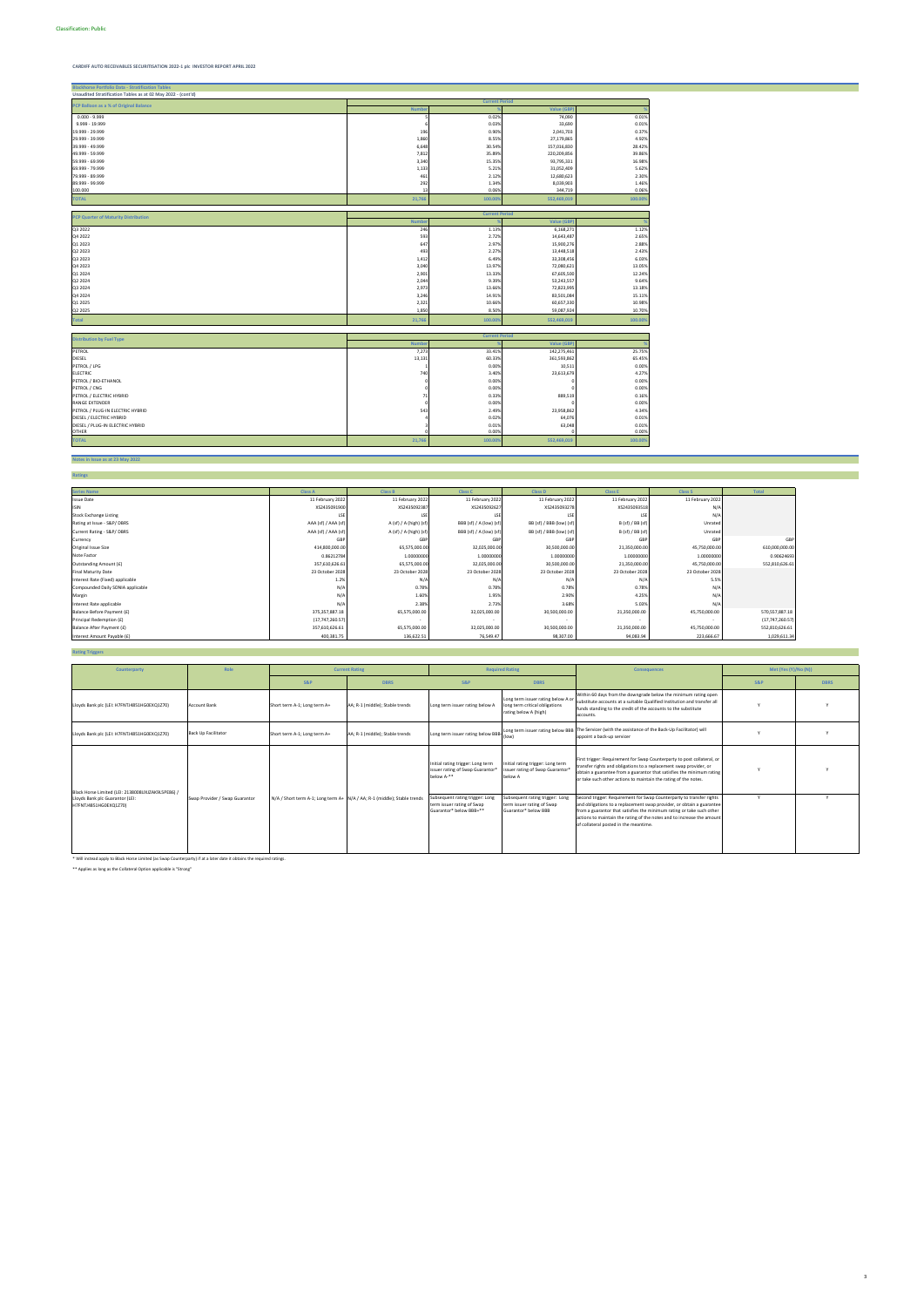**Blackhorse Portfolio Data - Stratification Tables**

| <b>Blackhorse Portfolio Data - Stratification Tables</b>     |                       |                       |                   |         |  |  |  |
|--------------------------------------------------------------|-----------------------|-----------------------|-------------------|---------|--|--|--|
| Unaudited Stratification Tables as at 02 May 2022 - (cont'd) |                       |                       |                   |         |  |  |  |
| PCP Balloon as a % of Original Balance                       | <b>Current Period</b> |                       |                   |         |  |  |  |
|                                                              | <b>Numbe</b>          |                       | <b>Value (GB</b>  |         |  |  |  |
| $0.000 - 9.999$                                              |                       | 0.02%                 | 74,090            | 0.01%   |  |  |  |
| 9.999 - 19.999                                               |                       | 0.03%                 | 33,690            | 0.01%   |  |  |  |
| 19.999 - 29.999                                              | 196                   | 0.90%                 | 2,041,703         | 0.37%   |  |  |  |
| 29.999 - 39.999                                              | 1,860                 | 8.55%                 | 27,179,865        | 4.92%   |  |  |  |
| 39.999 - 49.999                                              | 6,648                 | 30.54%                | 157,016,830       | 28.42%  |  |  |  |
| 49.999 - 59.999                                              | 7,812                 | 35.89%                | 220,209,856       | 39.86%  |  |  |  |
| 59.999 - 69.999                                              | 3,340                 | 15.35%                | 93,795,331        | 16.98%  |  |  |  |
| 69.999 - 79.999                                              | 1,133                 | 5.21%                 | 31,052,409        | 5.62%   |  |  |  |
| 79.999 - 89.999                                              | 461                   | 2.12%                 | 12,680,623        | 2.30%   |  |  |  |
| 89.999 - 99.999                                              | 292                   | 1.34%                 | 8,039,903         | 1.46%   |  |  |  |
| 100.000                                                      | 13                    | 0.06%                 | 344,719           | 0.06%   |  |  |  |
| <b>TOTAL</b>                                                 | 21,766                | 100.009               | 552,469,019       | 100.00% |  |  |  |
|                                                              |                       |                       |                   |         |  |  |  |
| <b>PCP Quarter of Maturity Distribution</b>                  |                       | <b>Current Period</b> |                   |         |  |  |  |
|                                                              | Numbe                 |                       | <b>Value (GBF</b> |         |  |  |  |
| Q3 2022                                                      | 246                   | 1.13%                 | 6,168,271         | 1.12%   |  |  |  |
| Q4 2022                                                      | 593                   | 2.72%                 | 14,643,487        | 2.65%   |  |  |  |
| Q1 2023                                                      | 647                   | 2.97%                 | 15,900,276        | 2.88%   |  |  |  |
| Q2 2023                                                      | 493                   | 2.27%                 | 13,448,518        | 2.43%   |  |  |  |
| Q3 2023                                                      | 1,412                 | 6.49%                 | 33,308,456        | 6.03%   |  |  |  |
| Q4 2023                                                      | 3,040                 | 13.97%                | 72,080,621        | 13.05%  |  |  |  |
| Q1 2024                                                      | 2,901                 | 13.33%                | 67,605,500        | 12.24%  |  |  |  |
| Q2 2024                                                      | 2,044                 | 9.39%                 | 53,243,557        | 9.64%   |  |  |  |
| Q3 2024                                                      | 2,973                 | 13.66%                | 72,823,995        | 13.18%  |  |  |  |
| Q4 2024                                                      | 3,246                 | 14.91%                | 83,501,084        | 15.11%  |  |  |  |
| Q1 2025                                                      | 2,321                 | 10.66%                | 60,657,330        | 10.98%  |  |  |  |
| Q2 2025                                                      | 1,850                 | 8.50%                 | 59,087,924        | 10.70%  |  |  |  |
| <b>Total</b>                                                 | 21,766                | 100.009               | 552,469,019       | 100.00% |  |  |  |
|                                                              |                       |                       |                   |         |  |  |  |
| <b>Distribution by Fuel Type</b>                             |                       | <b>Current Period</b> |                   |         |  |  |  |
|                                                              | <b>Numb</b>           |                       | <b>Value (GBP</b> |         |  |  |  |
| PETROL                                                       | 7,273                 | 33.41%                | 142,275,461       | 25.75%  |  |  |  |
| DIESEL                                                       | 13,131                | 60.33%                | 361,593,862       | 65.45%  |  |  |  |
| PETROL / LPG                                                 |                       | 0.00%                 | 10,511            | 0.00%   |  |  |  |
| <b>ELECTRIC</b>                                              | 740                   | 3.40%                 | 23,613,679        | 4.27%   |  |  |  |
| PETROL / BIO-ETHANOL                                         |                       | 0.00%                 |                   | 0.00%   |  |  |  |
| PETROL / CNG                                                 |                       | 0.00%                 |                   | 0.00%   |  |  |  |
| PETROL / ELECTRIC HYBRID                                     | 71                    | 0.33%                 | 889,519           | 0.16%   |  |  |  |
| RANGE EXTENDER                                               | $\Omega$              | 0.00%                 |                   | 0.00%   |  |  |  |
| PETROL / PLUG-IN ELECTRIC HYBRID                             | 543                   | 2.49%                 | 23,958,862        | 4.34%   |  |  |  |
| DIESEL / ELECTRIC HYBRID                                     |                       | 0.02%                 | 64,076            | 0.01%   |  |  |  |
| DIESEL / PLUG-IN ELECTRIC HYBRID                             |                       | 0.01%                 | 63,048            | 0.01%   |  |  |  |
| <b>OTHER</b>                                                 |                       | 0.00%                 |                   | 0.00%   |  |  |  |
| <b>TOTAL</b>                                                 | 21,766                | 100.00%               | 552,469,019       | 100.00% |  |  |  |

**Notes in Issue as at 23 May 2022**

| <b>Ratings</b>                    |                     |                        |                         |                          |                  |                  |                 |
|-----------------------------------|---------------------|------------------------|-------------------------|--------------------------|------------------|------------------|-----------------|
|                                   |                     |                        |                         |                          |                  |                  |                 |
| <b>Series Name</b>                | <b>Class A</b>      | <b>Class B</b>         | <b>Class C</b>          | <b>Class D</b>           | <b>Class E</b>   | <b>Class S</b>   | Total           |
| <b>Issue Date</b>                 | 11 February 2022    | 11 February 2022       | 11 February 2022        | 11 February 2022         | 11 February 2022 | 11 February 2022 |                 |
| <b>ISIN</b>                       | XS2435091900        | XS2435092387           | XS2435092627            | XS2435093278             | XS2435093518     | N/A              |                 |
| <b>Stock Exchange Listing</b>     | LSE                 | LSE                    |                         | LSE                      | LSE              | N/k              |                 |
| Rating at Issue - S&P/DBRS        | AAA (sf) / AAA (sf) | A (sf) / A (high) (sf) | BBB (sf) / A (low) (sf) | BB (sf) / BBB (low) (sf) | B (sf) / BB (sf) | Unrated          |                 |
| Current Rating - S&P/DBRS         | AAA (sf) / AAA (sf) | A (sf) / A (high) (sf) | BBB (sf) / A (low) (sf) | BB (sf) / BBB (low) (sf) | B (sf) / BB (sf) | Unrated          |                 |
| Currency                          | GBP                 | GBP                    | GBF                     | <b>GBI</b>               | GBP              | GB               | GBP             |
| Original Issue Size               | 414,800,000.00      | 65,575,000.00          | 32,025,000.00           | 30,500,000.00            | 21,350,000.00    | 45,750,000.00    | 610,000,000.00  |
| Note Factor                       | 0.86212784          | 1.00000000             | 1.00000000              | 1.00000000               | 1.00000000       | 1.00000000       | 0.90624693      |
| Outstanding Amount (£)            | 357,610,626.61      | 65,575,000.00          | 32,025,000.00           | 30,500,000.00            | 21,350,000.00    | 45,750,000.00    | 552,810,626.61  |
| <b>Final Maturity Date</b>        | 23 October 2028     | 23 October 2028        | 23 October 2028         | 23 October 2028          | 23 October 2028  | 23 October 2028  |                 |
| Interest Rate (Fixed) applicable  | 1.2%                | N/A                    | N/k                     | $N/\rho$                 | N/A              | 5.5%             |                 |
| Compounded Daily SONIA applicable | N/A                 | 0.78%                  | 0.78%                   | 0.78%                    | 0.78%            | N/k              |                 |
| Margin                            | N/A                 | 1.60%                  | 1.95%                   | 2.90%                    | 4.25%            | N/f              |                 |
| Interest Rate applicable          | N/f                 | 2.38%                  | 2.73%                   | 3.68%                    | 5.03%            | N/l              |                 |
| Balance Before Payment (£)        | 375, 357, 887.18    | 65,575,000.00          | 32,025,000.00           | 30,500,000.00            | 21,350,000.00    | 45,750,000.00    | 570,557,887.18  |
| Principal Redemption (£)          | (17, 747, 260.57)   |                        |                         |                          |                  |                  | (17,747,260.57) |
| Balance After Payment (£)         | 357,610,626.61      | 65,575,000.00          | 32,025,000.00           | 30,500,000.00            | 21,350,000.00    | 45,750,000.00    | 552,810,626.61  |
| Interest Amount Payable (£)       | 400,381.75          | 136,622.51             | 76,549.47               | 98,307.00                | 94,083.94        | 223,666.67       | 1,029,611.34    |

**Rating Triggers**

\* Will instead apply to Black Horse Limited (as Swap Counterparty) if at a later date it obtains the required ratings.

\*\* Applies as long as the Collateral Option applicable is "Strong"

| Counterparty                                                                                                  | Role                           |                              | <b>Current Rating</b>                                                              |                                                                                          | <b>Required Rating</b>                                                                                                                                                                                                                                                                    | <b>Consequences</b>                                                                                                                                                                                                                                                                                                                       | Met (Yes $(Y)/No(N)$ ) |             |
|---------------------------------------------------------------------------------------------------------------|--------------------------------|------------------------------|------------------------------------------------------------------------------------|------------------------------------------------------------------------------------------|-------------------------------------------------------------------------------------------------------------------------------------------------------------------------------------------------------------------------------------------------------------------------------------------|-------------------------------------------------------------------------------------------------------------------------------------------------------------------------------------------------------------------------------------------------------------------------------------------------------------------------------------------|------------------------|-------------|
|                                                                                                               |                                | <b>S&amp;P</b>               | <b>DBRS</b>                                                                        | <b>S&amp;P</b>                                                                           | <b>DBRS</b>                                                                                                                                                                                                                                                                               |                                                                                                                                                                                                                                                                                                                                           | <b>S&amp;P</b>         | <b>DBRS</b> |
| Lloyds Bank plc (LEI: H7FNTJ4851HG0EXQ1Z70)                                                                   | <b>Account Bank</b>            | Short term A-1; Long term A+ | AA; R-1 (middle); Stable trends                                                    | Long term issuer rating below /                                                          | Long term issuer rating below A or<br>long term critical obligations<br>rating below A (high)                                                                                                                                                                                             | Within 60 days from the downgrade below the minimum rating open<br>substitute accounts at a suitable Qualified Institution and transfer all<br>funds standing to the credit of the accounts to the substitute<br>accounts.                                                                                                                |                        |             |
| Lloyds Bank plc (LEI: H7FNTJ4851HG0EXQ1Z70)                                                                   | <b>Back Up Facilitator</b>     | Short term A-1; Long term A+ | AA; R-1 (middle); Stable trends                                                    | Long term issuer rating below BBB-                                                       | (low)                                                                                                                                                                                                                                                                                     | Long term issuer rating below BBB The Servicer (with the assistance of the Back-Up Facilitator) will<br>appoint a back-up servicer                                                                                                                                                                                                        |                        |             |
|                                                                                                               |                                |                              | Initial rating trigger: Long term<br>issuer rating of Swap Guarantor<br>below A-** | Initial rating trigger: Long term<br>issuer rating of Swap Guarantor*<br>below A         | First trigger: Requirement for Swap Counterparty to post collateral, or<br>transfer rights and obligations to a replacement swap provider, or<br>obtain a guarantee from a guarantor that satisfies the minimum rating<br>or take such other actions to maintain the rating of the notes. |                                                                                                                                                                                                                                                                                                                                           |                        |             |
| Black Horse Limited (LEI: 2138008UXJZAK9L5PE86) /<br>Lloyds Bank plc Guarantor (LEI:<br>H7FNTJ4851HG0EXQ1Z70) | Swap Provider / Swap Guarantor |                              | N/A / Short term A-1; Long term A+ N/A / AA; R-1 (middle); Stable trends           | Subsequent rating trigger: Long<br>term issuer rating of Swap<br>Guarantor* below BBB+** | Subsequent rating trigger: Long<br>term issuer rating of Swap<br>Guarantor* below BBB                                                                                                                                                                                                     | Second trigger: Requirement for Swap Counterparty to transfer rights<br>and obligations to a replacement swap provider, or obtain a guarantee<br>from a guarantor that satisfies the minimum rating or take such other<br>actions to maintain the rating of the notes and to increase the amount<br>of collateral posted in the meantime. |                        |             |

3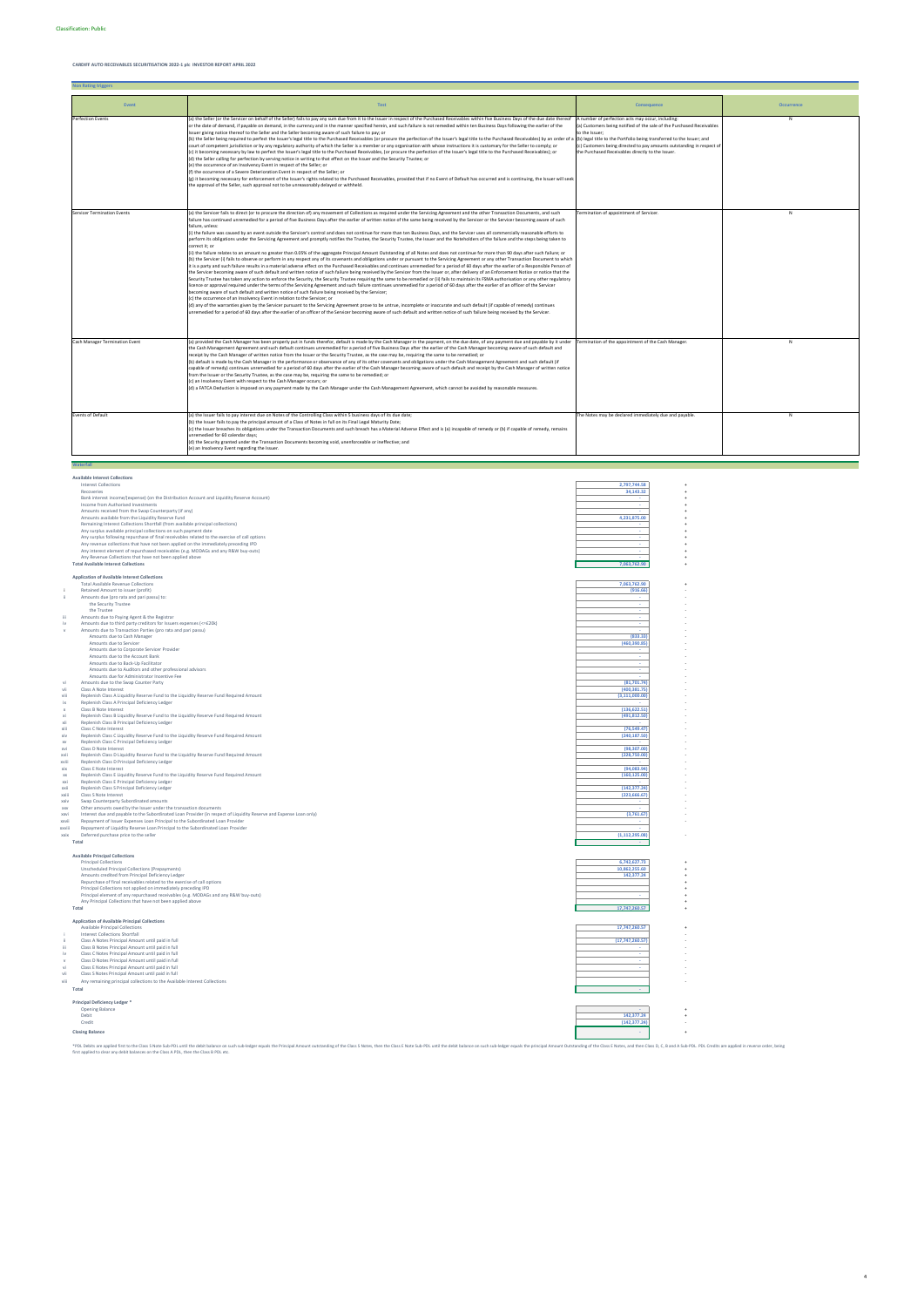**Non Rating triggers**

**Available Interest Collections**

|                           | <b>Interest Collections</b>                                                                                                                                                            | 2,797,744.58                  |  |
|---------------------------|----------------------------------------------------------------------------------------------------------------------------------------------------------------------------------------|-------------------------------|--|
|                           | Recoveries                                                                                                                                                                             | 34,143.32                     |  |
|                           | Bank interest income/(expense) (on the Distribution Account and Liquidity Reserve Account)                                                                                             |                               |  |
|                           | Income from Authorised Investments                                                                                                                                                     |                               |  |
|                           | Amounts received from the Swap Counterparty (if any)                                                                                                                                   |                               |  |
|                           | Amounts available from the Liquidity Reserve Fund                                                                                                                                      | 4,231,875.00                  |  |
|                           | Remaining Interest Collections Shortfall (from available principal collections)                                                                                                        |                               |  |
|                           | Any surplus available principal collections on such payment date                                                                                                                       |                               |  |
|                           | Any surplus following repurchase of final receivables related to the exercise of call options                                                                                          |                               |  |
|                           | Any revenue collections that have not been applied on the immediately preceding IPD                                                                                                    |                               |  |
|                           | Any interest element of repurchased receivables (e.g. MODAGs and any R&W buy-outs)                                                                                                     |                               |  |
|                           | Any Revenue Collections that have not been applied above                                                                                                                               |                               |  |
|                           | <b>Total Available Interest Collections</b>                                                                                                                                            | 7,063,762.90                  |  |
|                           | <b>Application of Available Interest Collections</b>                                                                                                                                   |                               |  |
|                           | <b>Total Available Revenue Collections</b>                                                                                                                                             | 7,063,762.90                  |  |
| j                         | Retained Amount to issuer (profit)                                                                                                                                                     | (916.66)                      |  |
| -ii                       | Amounts due (pro rata and pari passu) to:                                                                                                                                              |                               |  |
|                           | the Security Trustee                                                                                                                                                                   | ×.                            |  |
|                           | the Trustee                                                                                                                                                                            | ×.                            |  |
| iii                       | Amounts due to Paying Agent & the Registrar                                                                                                                                            |                               |  |
| iv                        | Amounts due to third party creditors for Issuers expenses (<=£20k)                                                                                                                     |                               |  |
| $\mathbf{v}$              | Amounts due to Transaction Parties (pro rata and pari passu)                                                                                                                           |                               |  |
|                           | Amounts due to Cash Manager                                                                                                                                                            | (833.33)                      |  |
|                           | Amounts due to Servicer                                                                                                                                                                | (460, 390.85)                 |  |
|                           | Amounts due to Corporate Servicer Provider                                                                                                                                             |                               |  |
|                           | Amounts due to the Account Bank                                                                                                                                                        |                               |  |
|                           | Amounts due to Back-Up Facilitator                                                                                                                                                     | ×.                            |  |
|                           | Amounts due to Auditors and other professional advisors                                                                                                                                |                               |  |
|                           | Amounts due for Administrator Incentive Fee                                                                                                                                            |                               |  |
| vi                        | Amounts due to the Swap Counter Party                                                                                                                                                  | (81,701.74)<br>(400, 381, 75) |  |
| vii<br>viii               | Class A Note Interest                                                                                                                                                                  | (3, 111, 000.00)              |  |
| ix                        | Replenish Class A Liquidity Reserve Fund to the Liquidity Reserve Fund Required Amount<br>Replenish Class A Principal Deficiency Ledger                                                |                               |  |
| $\boldsymbol{\mathsf{x}}$ | Class B Note Interest                                                                                                                                                                  | (136, 622.51)                 |  |
| xi                        | Replenish Class B Liquidity Reserve Fund to the Liquidity Reserve Fund Required Amount                                                                                                 | (491, 812.50)                 |  |
| xii                       | Replenish Class B Principal Deficiency Ledger                                                                                                                                          |                               |  |
| xiii                      | Class C Note Interest                                                                                                                                                                  | (76, 549.47)                  |  |
| xiv                       | Replenish Class C Liquidity Reserve Fund to the Liquidity Reserve Fund Required Amount                                                                                                 | (240, 187.50)                 |  |
| <b>XV</b>                 | Replenish Class C Principal Deficiency Ledger                                                                                                                                          |                               |  |
| xvi                       | Class D Note Interest                                                                                                                                                                  | (98, 307.00)                  |  |
| xvii                      | Replenish Class D Liquidity Reserve Fund to the Liquidity Reserve Fund Required Amount                                                                                                 | (228,750.00)                  |  |
| xviii                     | Replenish Class D Principal Deficiency Ledger                                                                                                                                          |                               |  |
| xix                       | Class E Note Interest                                                                                                                                                                  | (94,083.94)                   |  |
| XX                        | Replenish Class E Liquidity Reserve Fund to the Liquidity Reserve Fund Required Amount                                                                                                 | (160, 125.00)                 |  |
| xxi                       | Replenish Class E Principal Deficiency Ledger                                                                                                                                          |                               |  |
| xxii                      | Replenish Class S Principal Deficiency Ledger                                                                                                                                          | (142, 377.24)                 |  |
| xxiii                     | Class S Note Interest                                                                                                                                                                  | (223, 666.67)                 |  |
| xxiv                      | Swap Counterparty Subordinated amounts                                                                                                                                                 |                               |  |
| <b>XXV</b><br>xxvi        | Other amounts owed by the Issuer under the transaction documents<br>Interest due and payable to the Subordinated Loan Provider (in respect of Liquidity Reserve and Expense Loan only) | (3,761.67)                    |  |
| xxvii                     | Repayment of Issuer Expenses Loan Principal to the Subordinated Loan Provider                                                                                                          |                               |  |
| xxviii                    | Repayment of Liquidity Reserve Loan Principal to the Subordinated Loan Provider                                                                                                        |                               |  |
| xxix                      | Deferred purchase price to the seller                                                                                                                                                  | (1, 112, 295.08)              |  |
|                           | Total                                                                                                                                                                                  |                               |  |
|                           |                                                                                                                                                                                        |                               |  |
|                           | <b>Available Principal Collections</b>                                                                                                                                                 |                               |  |
|                           | <b>Principal Collections</b>                                                                                                                                                           | 6.742.627.73                  |  |
|                           | Unscheduled Principal Collections (Prepayments)                                                                                                                                        | 10.862.255.60                 |  |
|                           | Amounts credited from Principal Deficiency Ledger                                                                                                                                      | 142,377.24                    |  |
|                           | Repurchase of final receivables related to the exercise of call options                                                                                                                |                               |  |
|                           | Principal Collections not applied on immediately preceding IPD                                                                                                                         |                               |  |
|                           | Principal element of any repurchased receivables (e.g. MODAGs and any R&W buy-outs)                                                                                                    |                               |  |
|                           | Any Principal Collections that have not been applied above                                                                                                                             |                               |  |
|                           | Total                                                                                                                                                                                  | 17,747,260.57                 |  |
|                           |                                                                                                                                                                                        |                               |  |
|                           | <b>Application of Available Principal Collections</b>                                                                                                                                  |                               |  |
|                           | Available Principal Collections                                                                                                                                                        | 17,747,260.57                 |  |
| ji                        | <b>Interest Collections Shortfall</b><br>Class A Notes Principal Amount until paid in full                                                                                             | (17, 747, 260.57)             |  |
| iii                       | Class B Notes Principal Amount until paid in full                                                                                                                                      |                               |  |
| iv                        | Class C Notes Principal Amount until paid in full                                                                                                                                      |                               |  |
| $\mathbf{v}$              | Class D Notes Principal Amount until paid in full                                                                                                                                      |                               |  |
| vi                        | Class E Notes Principal Amount until paid in full                                                                                                                                      |                               |  |
|                           |                                                                                                                                                                                        |                               |  |

| vii  | Class S Notes Principal Amount until paid in full                         |            |  |  |
|------|---------------------------------------------------------------------------|------------|--|--|
| viii | Any remaining principal collections to the Available Interest Collections |            |  |  |
|      | Total                                                                     |            |  |  |
|      | Principal Deficiency Ledger *                                             |            |  |  |
|      | Opening Balance                                                           |            |  |  |
|      | Debit                                                                     | 142.377.24 |  |  |

| Debit                  | 142,377.24    |  |
|------------------------|---------------|--|
| Credit                 | (142, 377.24) |  |
| <b>Closing Balance</b> |               |  |

\*PDL behis are applied that the Class SNde Exb-D behis under the distribution on such sub-ledger equals the Principal Amount outstanding of the Class SNdes, then the Class ENdes, then the Class ENde SNdes, then the Class E

| Event                              | <b>Test</b>                                                                                                                                                                                                                                                                                                                                                                                                                                                                                                                                                                                                                                                                                                                                                                                                                                                                                                                                                                                                                                                                                                                                                                                                                                                                                                                                                                                                                                                                                                                                                                                                                                                                                                                                                                                                                                                                                                                                                                                                                                                                                                                                                                                                                                                                                                                                                                                                                                                                                                                                                                  | Consequence                                                                                                                                                                                                                                                                                                                                         | <b>Occurrence</b> |
|------------------------------------|------------------------------------------------------------------------------------------------------------------------------------------------------------------------------------------------------------------------------------------------------------------------------------------------------------------------------------------------------------------------------------------------------------------------------------------------------------------------------------------------------------------------------------------------------------------------------------------------------------------------------------------------------------------------------------------------------------------------------------------------------------------------------------------------------------------------------------------------------------------------------------------------------------------------------------------------------------------------------------------------------------------------------------------------------------------------------------------------------------------------------------------------------------------------------------------------------------------------------------------------------------------------------------------------------------------------------------------------------------------------------------------------------------------------------------------------------------------------------------------------------------------------------------------------------------------------------------------------------------------------------------------------------------------------------------------------------------------------------------------------------------------------------------------------------------------------------------------------------------------------------------------------------------------------------------------------------------------------------------------------------------------------------------------------------------------------------------------------------------------------------------------------------------------------------------------------------------------------------------------------------------------------------------------------------------------------------------------------------------------------------------------------------------------------------------------------------------------------------------------------------------------------------------------------------------------------------|-----------------------------------------------------------------------------------------------------------------------------------------------------------------------------------------------------------------------------------------------------------------------------------------------------------------------------------------------------|-------------------|
| Perfection Events                  | (a) the Seller (or the Servicer on behalf of the Seller) fails to pay any sum due from it to the Issuer in respect of the Purchased Receivables within five Business Days of the due date thereof<br>or the date of demand, if payable on demand, in the currency and in the manner specified herein, and such failure is not remedied within ten Business Days following the earlier of the<br>Issuer giving notice thereof to the Seller and the Seller becoming aware of such failure to pay; or<br>(b) the Seller being required to perfect the Issuer's legal title to the Purchased Receivables (or procure the perfection of the Issuer's legal title to the Purchased Receivables) by an order of<br>court of competent jurisdiction or by any regulatory authority of which the Seller is a member or any organisation with whose instructions it is customary for the Seller to comply; or<br>(c) it becoming necessary by law to perfect the Issuer's legal title to the Purchased Receivables, (or procure the perfection of the Issuer's legal title to the Purchased Receivables); or<br>(d) the Seller calling for perfection by serving notice in writing to that effect on the Issuer and the Security Trustee; or<br>(e) the occurrence of an Insolvency Event in respect of the Seller; or<br>(f) the occurrence of a Severe Deterioration Event in respect of the Seller; or<br>(g) it becoming necessary for enforcement of the Issuer's rights related to the Purchased Receivables, provided that if no Event of Default has occurred and is continuing, the Issuer will seek<br>the approval of the Seller, such approval not to be unreasonably delayed or withheld.                                                                                                                                                                                                                                                                                                                                                                                                                                                                                                                                                                                                                                                                                                                                                                                                                                                                                | A number of perfection acts may occur, including:<br>(a) Customers being notified of the sale of the Purchased Receivables<br>to the Issuer;<br>(b) legal title to the Portfolio being transferred to the Issuer; and<br>(c) Customers being directed to pay amounts outstanding in respect of<br>the Purchased Receivables directly to the Issuer. | N                 |
| <b>Servicer Termination Events</b> | (a) the Servicer fails to direct (or to procure the direction of) any movement of Collections as required under the Servicing Agreement and the other Transaction Documents, and such<br>failure has continued unremedied for a period of five Business Days after the earlier of written notice of the same being received by the Servicer or the Servicer becoming aware of such<br>failure, unless:<br>(i) the failure was caused by an event outside the Servicer's control and does not continue for more than ten Business Days, and the Servicer uses all commercially reasonable efforts to<br>perform its obligations under the Servicing Agreement and promptly notifies the Trustee, the Security Trustee, the Issuer and the Noteholders of the failure and the steps being taken to<br>correct it; or<br>(ii) the failure relates to an amount no greater than 0.05% of the aggregate Principal Amount Outstanding of all Notes and does not continue for more than 90 days after such failure; or<br>(b) the Servicer (i) fails to observe or perform in any respect any of its covenants and obligations under or pursuant to the Servicing Agreement or any other Transaction Document to which<br>it is a party and such failure results in a material adverse effect on the Purchased Receivables and continues unremedied for a period of 60 days after the earlier of a Responsible Person of<br>the Servicer becoming aware of such default and written notice of such failure being received by the Servicer from the Issuer or, after delivery of an Enforcement Notice or notice that the<br>Security Trustee has taken any action to enforce the Security, the Security Trustee requiring the same to be remedied or (ii) fails to maintain its FSMA authorisation or any other regulatory<br>licence or approval required under the terms of the Servicing Agreement and such failure continues unremedied for a period of 60 days after the earlier of an officer of the Servicer<br>becoming aware of such default and written notice of such failure being received by the Servicer;<br>(c) the occurrence of an Insolvency Event in relation to the Servicer; or<br>(d) any of the warranties given by the Servicer pursuant to the Servicing Agreement prove to be untrue, incomplete or inaccurate and such default (if capable of remedy) continues<br>unremedied for a period of 60 days after the earlier of an officer of the Servicer becoming aware of such default and written notice of such failure being received by the Servicer. | Termination of appointment of Servicer.                                                                                                                                                                                                                                                                                                             | N                 |
| Cash Manager Termination Event     | (a) provided the Cash Manager has been properly put in funds therefor, default is made by the Cash Manager in the payment, on the due date, of any payment due and payable by it under<br>the Cash Management Agreement and such default continues unremedied for a period of five Business Days after the earlier of the Cash Manager becoming aware of such default and<br>receipt by the Cash Manager of written notice from the Issuer or the Security Trustee, as the case may be, requiring the same to be remedied; or<br>(b) default is made by the Cash Manager in the performance or observance of any of its other covenants and obligations under the Cash Management Agreement and such default (if<br>capable of remedy) continues unremedied for a period of 60 days after the earlier of the Cash Manager becoming aware of such default and receipt by the Cash Manager of written notice<br>from the Issuer or the Security Trustee, as the case may be, requiring the same to be remedied; or<br>(c) an Insolvency Event with respect to the Cash Manager occurs; or<br>(d) a FATCA Deduction is imposed on any payment made by the Cash Manager under the Cash Management Agreement, which cannot be avoided by reasonable measures.                                                                                                                                                                                                                                                                                                                                                                                                                                                                                                                                                                                                                                                                                                                                                                                                                                                                                                                                                                                                                                                                                                                                                                                                                                                                                                                     | Termination of the appointment of the Cash Manager.                                                                                                                                                                                                                                                                                                 | N                 |
| <b>Events of Default</b>           | (a) the Issuer fails to pay interest due on Notes of the Controlling Class within 5 business days of its due date;<br>(b) the Issuer fails to pay the principal amount of a Class of Notes in full on its Final Legal Maturity Date;<br>(c) the Issuer breaches its obligations under the Transaction Documents and such breach has a Material Adverse Effect and is (a) incapable of remedy or (b) if capable of remedy, remains<br>unremedied for 60 calendar days;<br>(d) the Security granted under the Transaction Documents becoming void, unenforceable or ineffective; and<br>(e) an Insolvency Event regarding the Issuer.                                                                                                                                                                                                                                                                                                                                                                                                                                                                                                                                                                                                                                                                                                                                                                                                                                                                                                                                                                                                                                                                                                                                                                                                                                                                                                                                                                                                                                                                                                                                                                                                                                                                                                                                                                                                                                                                                                                                          | The Notes may be declared immediately due and payable.                                                                                                                                                                                                                                                                                              | N                 |
| Waterfall                          |                                                                                                                                                                                                                                                                                                                                                                                                                                                                                                                                                                                                                                                                                                                                                                                                                                                                                                                                                                                                                                                                                                                                                                                                                                                                                                                                                                                                                                                                                                                                                                                                                                                                                                                                                                                                                                                                                                                                                                                                                                                                                                                                                                                                                                                                                                                                                                                                                                                                                                                                                                              |                                                                                                                                                                                                                                                                                                                                                     |                   |

4